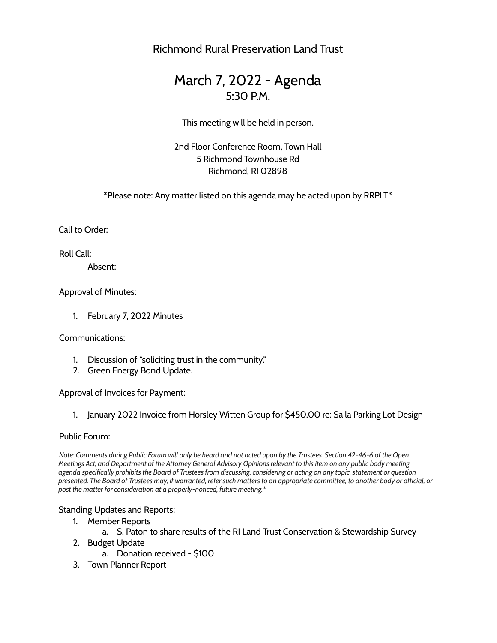Richmond Rural Preservation Land Trust

# March 7, 2022 - Agenda 5:30 P.M.

This meeting will be held in person.

2nd Floor Conference Room, Town Hall 5 Richmond Townhouse Rd Richmond, RI 02898

\*Please note: Any matter listed on this agenda may be acted upon by RRPLT\*

Call to Order:

Roll Call:

Absent:

Approval of Minutes:

1. February 7, 2022 Minutes

Communications:

- 1. Discussion of "soliciting trust in the community."
- 2. Green Energy Bond Update.

Approval of Invoices for Payment:

1. January 2022 Invoice from Horsley Witten Group for \$450.00 re: Saila Parking Lot Design

## Public Forum:

Note: Comments during Public Forum will only be heard and not acted upon by the Trustees. Section 42-46-6 of the Open Meetings Act, and Department of the Attorney General Advisory Opinions relevant to this item on any public body meeting agenda specifically prohibits the Board of Trustees from discussing, considering or acting on any topic, statement or question presented. The Board of Trustees may, if warranted, refer such matters to an appropriate committee, to another body or official, or *post the matter for consideration at a properly-noticed, future meeting.\**

### Standing Updates and Reports:

- 1. Member Reports
	- a. S. Paton to share results of the RI Land Trust Conservation & Stewardship Survey
- 2. Budget Update
	- a. Donation received \$100
- 3. Town Planner Report